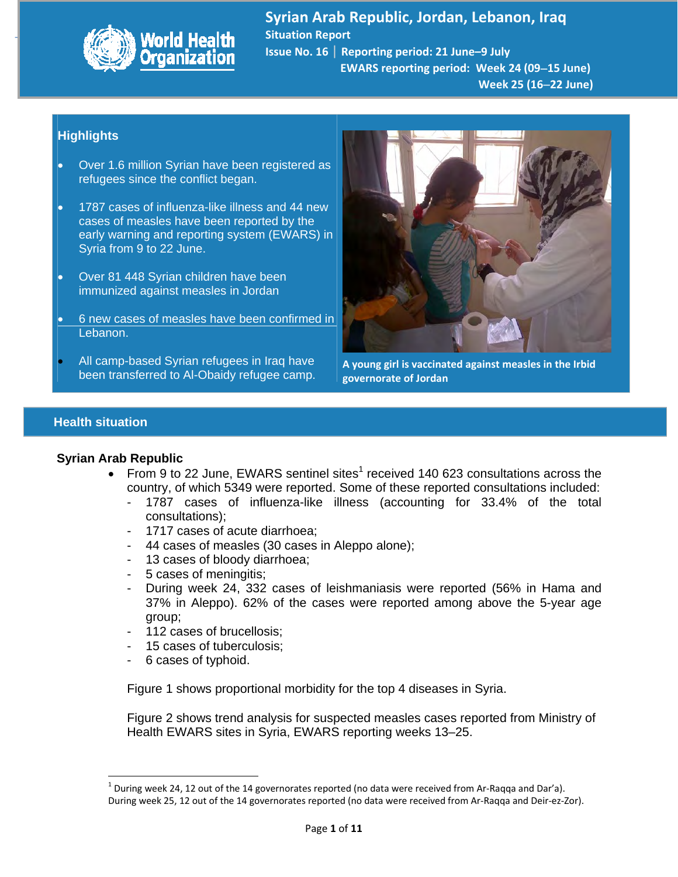

Syrian Arab Republic, Jordan, Lebanon, Iraq<br>Alan Arab Republic, Jordan, Lebanon, Iraq **Situation Report Issue No. 16** | **Reporting period: 21 June–9 July EWARS reporting period: Week 24 (0915 June)**

 **Week 25 (1622 June)**

# **Highlights**

- Over 1.6 million Syrian have been registered as refugees since the conflict began.
- 1787 cases of influenza-like illness and 44 new cases of measles have been reported by the early warning and reporting system (EWARS) in Syria from 9 to 22 June.
- Over 81 448 Syrian children have been immunized against measles in Jordan
- 6 new cases of measles have been confirmed in Lebanon.
- All camp-based Syrian refugees in Iraq have been transferred to Al-Obaidy refugee camp.



**A young girl is vaccinated against measles in the Irbid governorate of Jordan**

# **Health situation**

### **Syrian Arab Republic**

- From 9 to 22 June, EWARS sentinel sites<sup>1</sup> received 140 623 consultations across the country, of which 5349 were reported. Some of these reported consultations included:
	- 1787 cases of influenza-like illness (accounting for 33.4% of the total consultations);
	- 1717 cases of acute diarrhoea;
	- 44 cases of measles (30 cases in Aleppo alone);
	- 13 cases of bloody diarrhoea;
	- 5 cases of meningitis;
	- During week 24, 332 cases of leishmaniasis were reported (56% in Hama and 37% in Aleppo). 62% of the cases were reported among above the 5-year age group;
	- 112 cases of brucellosis;
	- 15 cases of tuberculosis;
	- 6 cases of typhoid.

Figure 1 shows proportional morbidity for the top 4 diseases in Syria.

Figure 2 shows trend analysis for suspected measles cases reported from Ministry of Health EWARS sites in Syria, EWARS reporting weeks 13–25.

 $1$  During week 24, 12 out of the 14 governorates reported (no data were received from Ar-Raqqa and Dar'a). During week 25, 12 out of the 14 governorates reported (no data were received from Ar‐Raqqa and Deir‐ez‐Zor).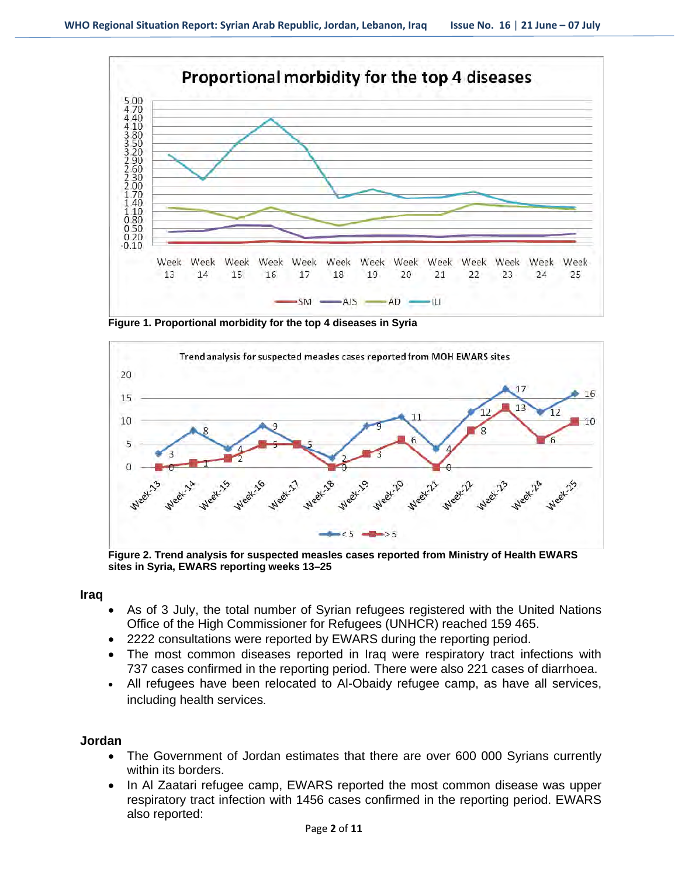

**Figure 1. Proportional morbidity for the top 4 diseases in Syria** 



**Figure 2. Trend analysis for suspected measles cases reported from Ministry of Health EWARS sites in Syria, EWARS reporting weeks 13–25** 

**Iraq** 

- As of 3 July, the total number of Syrian refugees registered with the United Nations Office of the High Commissioner for Refugees (UNHCR) reached 159 465.
- 2222 consultations were reported by EWARS during the reporting period.
- The most common diseases reported in Iraq were respiratory tract infections with 737 cases confirmed in the reporting period. There were also 221 cases of diarrhoea.
- All refugees have been relocated to Al-Obaidy refugee camp, as have all services, including health services.

### **Jordan**

- The Government of Jordan estimates that there are over 600 000 Syrians currently within its borders.
- In Al Zaatari refugee camp, EWARS reported the most common disease was upper respiratory tract infection with 1456 cases confirmed in the reporting period. EWARS also reported: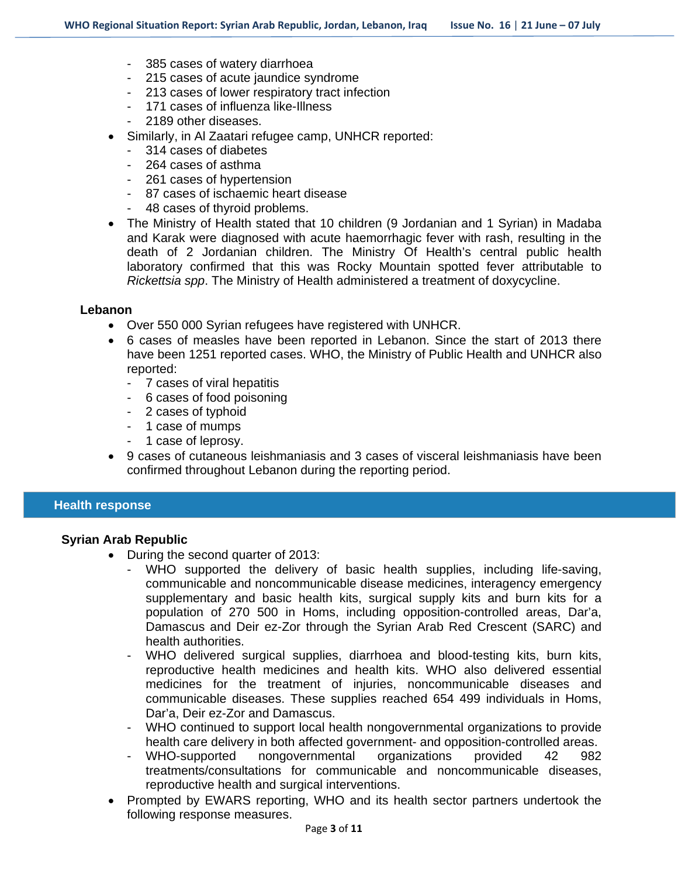- 385 cases of watery diarrhoea
- 215 cases of acute jaundice syndrome
- 213 cases of lower respiratory tract infection
- 171 cases of influenza like-Illness
- 2189 other diseases.
- Similarly, in Al Zaatari refugee camp, UNHCR reported:
	- 314 cases of diabetes
	- 264 cases of asthma
	- 261 cases of hypertension
	- 87 cases of ischaemic heart disease
	- 48 cases of thyroid problems.
- The Ministry of Health stated that 10 children (9 Jordanian and 1 Syrian) in Madaba and Karak were diagnosed with acute haemorrhagic fever with rash, resulting in the death of 2 Jordanian children. The Ministry Of Health's central public health laboratory confirmed that this was Rocky Mountain spotted fever attributable to *Rickettsia spp*. The Ministry of Health administered a treatment of doxycycline.

#### **Lebanon**

- Over 550 000 Syrian refugees have registered with UNHCR.
- 6 cases of measles have been reported in Lebanon. Since the start of 2013 there have been 1251 reported cases. WHO, the Ministry of Public Health and UNHCR also reported:
	- 7 cases of viral hepatitis
	- 6 cases of food poisoning
	- 2 cases of typhoid
	- 1 case of mumps
	- 1 case of leprosy.
- 9 cases of cutaneous leishmaniasis and 3 cases of visceral leishmaniasis have been confirmed throughout Lebanon during the reporting period.

# **Health response**

### **Syrian Arab Republic**

- During the second quarter of 2013:
	- WHO supported the delivery of basic health supplies, including life-saving, communicable and noncommunicable disease medicines, interagency emergency supplementary and basic health kits, surgical supply kits and burn kits for a population of 270 500 in Homs, including opposition-controlled areas, Dar'a, Damascus and Deir ez-Zor through the Syrian Arab Red Crescent (SARC) and health authorities.
	- WHO delivered surgical supplies, diarrhoea and blood-testing kits, burn kits, reproductive health medicines and health kits. WHO also delivered essential medicines for the treatment of injuries, noncommunicable diseases and communicable diseases. These supplies reached 654 499 individuals in Homs, Dar'a, Deir ez-Zor and Damascus.
	- WHO continued to support local health nongovernmental organizations to provide health care delivery in both affected government- and opposition-controlled areas.
	- WHO-supported nongovernmental organizations provided 42 982 treatments/consultations for communicable and noncommunicable diseases, reproductive health and surgical interventions.
- Prompted by EWARS reporting, WHO and its health sector partners undertook the following response measures.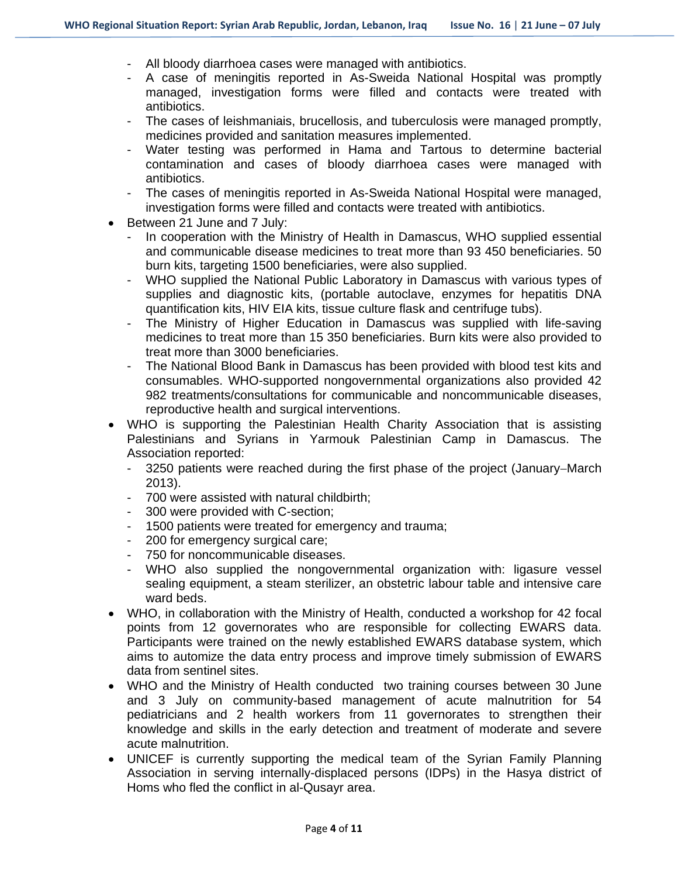- All bloody diarrhoea cases were managed with antibiotics.
- A case of meningitis reported in As-Sweida National Hospital was promptly managed, investigation forms were filled and contacts were treated with antibiotics.
- The cases of leishmaniais, brucellosis, and tuberculosis were managed promptly, medicines provided and sanitation measures implemented.
- Water testing was performed in Hama and Tartous to determine bacterial contamination and cases of bloody diarrhoea cases were managed with antibiotics.
- The cases of meningitis reported in As-Sweida National Hospital were managed, investigation forms were filled and contacts were treated with antibiotics.
- Between 21 June and 7 July:
	- In cooperation with the Ministry of Health in Damascus, WHO supplied essential and communicable disease medicines to treat more than 93 450 beneficiaries. 50 burn kits, targeting 1500 beneficiaries, were also supplied.
	- WHO supplied the National Public Laboratory in Damascus with various types of supplies and diagnostic kits, (portable autoclave, enzymes for hepatitis DNA quantification kits, HIV EIA kits, tissue culture flask and centrifuge tubs).
	- The Ministry of Higher Education in Damascus was supplied with life-saving medicines to treat more than 15 350 beneficiaries. Burn kits were also provided to treat more than 3000 beneficiaries.
	- The National Blood Bank in Damascus has been provided with blood test kits and consumables. WHO-supported nongovernmental organizations also provided 42 982 treatments/consultations for communicable and noncommunicable diseases, reproductive health and surgical interventions.
- WHO is supporting the Palestinian Health Charity Association that is assisting Palestinians and Syrians in Yarmouk Palestinian Camp in Damascus. The Association reported:
	- 3250 patients were reached during the first phase of the project (January–March 2013).
	- 700 were assisted with natural childbirth;
	- 300 were provided with C-section;
	- 1500 patients were treated for emergency and trauma;
	- 200 for emergency surgical care;
	- 750 for noncommunicable diseases.
	- WHO also supplied the nongovernmental organization with: ligasure vessel sealing equipment, a steam sterilizer, an obstetric labour table and intensive care ward beds.
- WHO, in collaboration with the Ministry of Health, conducted a workshop for 42 focal points from 12 governorates who are responsible for collecting EWARS data. Participants were trained on the newly established EWARS database system, which aims to automize the data entry process and improve timely submission of EWARS data from sentinel sites.
- WHO and the Ministry of Health conducted two training courses between 30 June and 3 July on community-based management of acute malnutrition for 54 pediatricians and 2 health workers from 11 governorates to strengthen their knowledge and skills in the early detection and treatment of moderate and severe acute malnutrition.
- UNICEF is currently supporting the medical team of the Syrian Family Planning Association in serving internally-displaced persons (IDPs) in the Hasya district of Homs who fled the conflict in al-Qusayr area.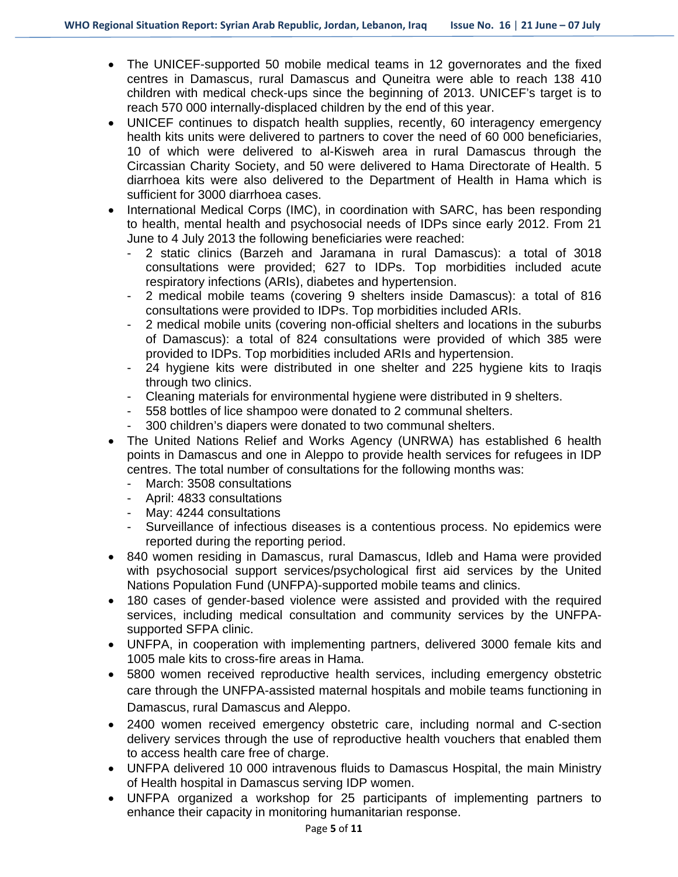- The UNICEF-supported 50 mobile medical teams in 12 governorates and the fixed centres in Damascus, rural Damascus and Quneitra were able to reach 138 410 children with medical check-ups since the beginning of 2013. UNICEF's target is to reach 570 000 internally-displaced children by the end of this year.
- UNICEF continues to dispatch health supplies, recently, 60 interagency emergency health kits units were delivered to partners to cover the need of 60 000 beneficiaries, 10 of which were delivered to al-Kisweh area in rural Damascus through the Circassian Charity Society, and 50 were delivered to Hama Directorate of Health. 5 diarrhoea kits were also delivered to the Department of Health in Hama which is sufficient for 3000 diarrhoea cases.
- International Medical Corps (IMC), in coordination with SARC, has been responding to health, mental health and psychosocial needs of IDPs since early 2012. From 21 June to 4 July 2013 the following beneficiaries were reached:
	- 2 static clinics (Barzeh and Jaramana in rural Damascus): a total of 3018 consultations were provided; 627 to IDPs. Top morbidities included acute respiratory infections (ARIs), diabetes and hypertension.
	- 2 medical mobile teams (covering 9 shelters inside Damascus): a total of 816 consultations were provided to IDPs. Top morbidities included ARIs.
	- 2 medical mobile units (covering non-official shelters and locations in the suburbs of Damascus): a total of 824 consultations were provided of which 385 were provided to IDPs. Top morbidities included ARIs and hypertension.
	- 24 hygiene kits were distributed in one shelter and 225 hygiene kits to Iraqis through two clinics.
	- Cleaning materials for environmental hygiene were distributed in 9 shelters.
	- 558 bottles of lice shampoo were donated to 2 communal shelters.
	- 300 children's diapers were donated to two communal shelters.
- The United Nations Relief and Works Agency (UNRWA) has established 6 health points in Damascus and one in Aleppo to provide health services for refugees in IDP centres. The total number of consultations for the following months was:
	- March: 3508 consultations
	- April: 4833 consultations
	- May: 4244 consultations
	- Surveillance of infectious diseases is a contentious process. No epidemics were reported during the reporting period.
- 840 women residing in Damascus, rural Damascus, Idleb and Hama were provided with psychosocial support services/psychological first aid services by the United Nations Population Fund (UNFPA)-supported mobile teams and clinics.
- 180 cases of gender-based violence were assisted and provided with the required services, including medical consultation and community services by the UNFPAsupported SFPA clinic.
- UNFPA, in cooperation with implementing partners, delivered 3000 female kits and 1005 male kits to cross-fire areas in Hama.
- 5800 women received reproductive health services, including emergency obstetric care through the UNFPA-assisted maternal hospitals and mobile teams functioning in Damascus, rural Damascus and Aleppo.
- 2400 women received emergency obstetric care, including normal and C-section delivery services through the use of reproductive health vouchers that enabled them to access health care free of charge.
- UNFPA delivered 10 000 intravenous fluids to Damascus Hospital, the main Ministry of Health hospital in Damascus serving IDP women.
- UNFPA organized a workshop for 25 participants of implementing partners to enhance their capacity in monitoring humanitarian response.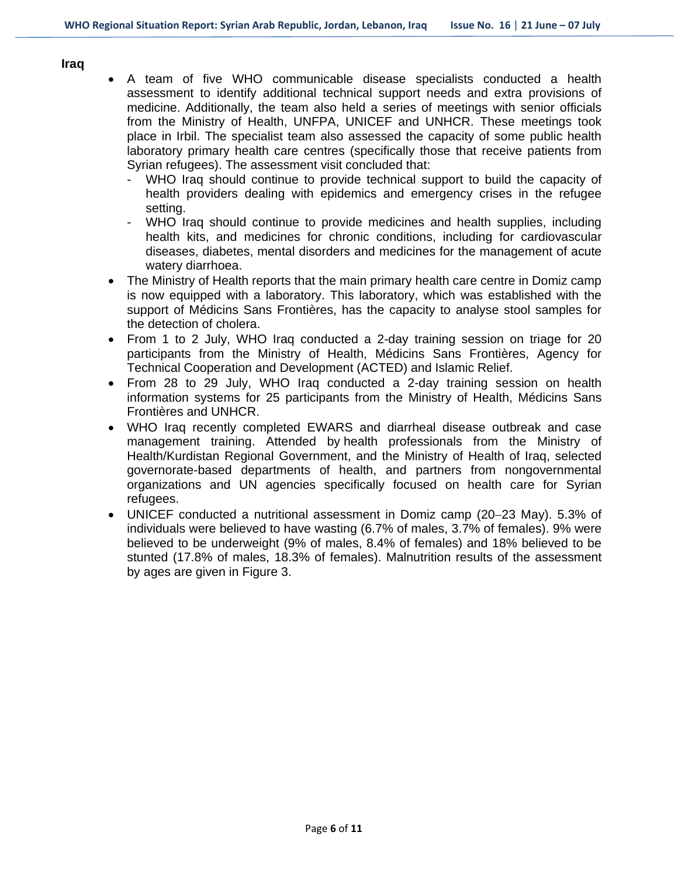#### **Iraq**

- A team of five WHO communicable disease specialists conducted a health assessment to identify additional technical support needs and extra provisions of medicine. Additionally, the team also held a series of meetings with senior officials from the Ministry of Health, UNFPA, UNICEF and UNHCR. These meetings took place in Irbil. The specialist team also assessed the capacity of some public health laboratory primary health care centres (specifically those that receive patients from Syrian refugees). The assessment visit concluded that:
	- WHO Iraq should continue to provide technical support to build the capacity of health providers dealing with epidemics and emergency crises in the refugee setting.
	- WHO Iraq should continue to provide medicines and health supplies, including health kits, and medicines for chronic conditions, including for cardiovascular diseases, diabetes, mental disorders and medicines for the management of acute watery diarrhoea.
- The Ministry of Health reports that the main primary health care centre in Domiz camp is now equipped with a laboratory. This laboratory, which was established with the support of Médicins Sans Frontières, has the capacity to analyse stool samples for the detection of cholera.
- From 1 to 2 July, WHO Iraq conducted a 2-day training session on triage for 20 participants from the Ministry of Health, Médicins Sans Frontières, Agency for Technical Cooperation and Development (ACTED) and Islamic Relief.
- From 28 to 29 July, WHO Iraq conducted a 2-day training session on health information systems for 25 participants from the Ministry of Health, Médicins Sans Frontières and UNHCR.
- WHO Iraq recently completed EWARS and diarrheal disease outbreak and case management training. Attended by health professionals from the Ministry of Health/Kurdistan Regional Government, and the Ministry of Health of Iraq, selected governorate-based departments of health, and partners from nongovernmental organizations and UN agencies specifically focused on health care for Syrian refugees.
- UNICEF conducted a nutritional assessment in Domiz camp (20–23 May). 5.3% of individuals were believed to have wasting (6.7% of males, 3.7% of females). 9% were believed to be underweight (9% of males, 8.4% of females) and 18% believed to be stunted (17.8% of males, 18.3% of females). Malnutrition results of the assessment by ages are given in Figure 3.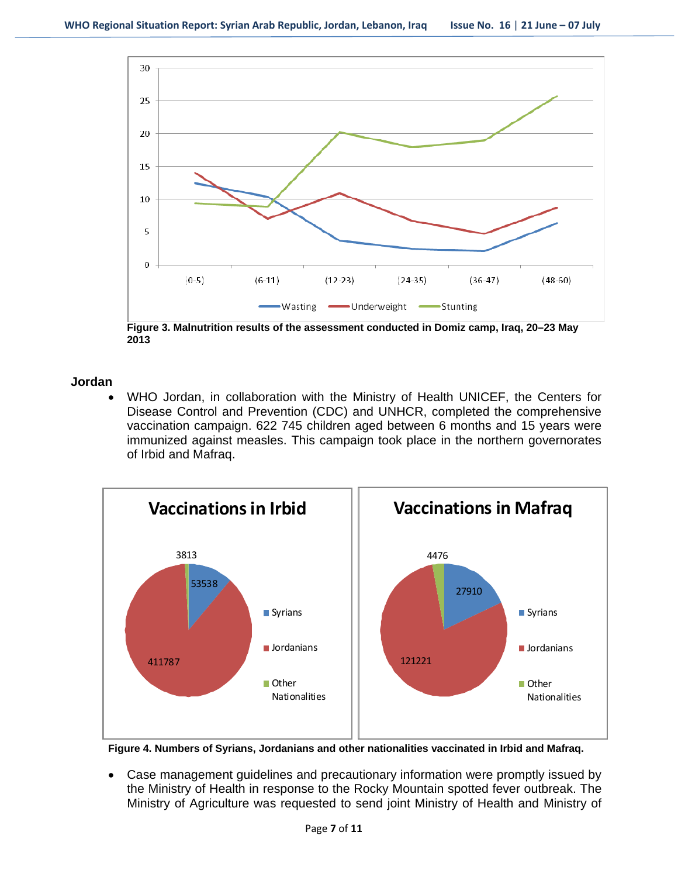

**Figure 3. Malnutrition results of the assessment conducted in Domiz camp, Iraq, 20–23 May 2013**

### **Jordan**

 WHO Jordan, in collaboration with the Ministry of Health UNICEF, the Centers for Disease Control and Prevention (CDC) and UNHCR, completed the comprehensive vaccination campaign. 622 745 children aged between 6 months and 15 years were immunized against measles. This campaign took place in the northern governorates of Irbid and Mafraq.



**Figure 4. Numbers of Syrians, Jordanians and other nationalities vaccinated in Irbid and Mafraq.** 

 Case management guidelines and precautionary information were promptly issued by the Ministry of Health in response to the Rocky Mountain spotted fever outbreak. The Ministry of Agriculture was requested to send joint Ministry of Health and Ministry of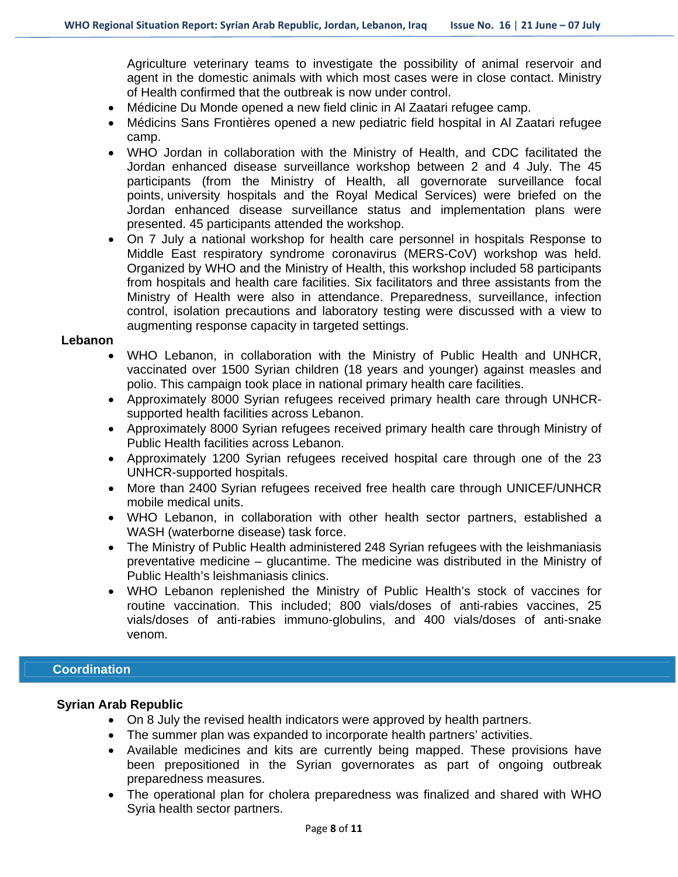Agriculture veterinary teams to investigate the possibility of animal reservoir and agent in the domestic animals with which most cases were in close contact. Ministry of Health confirmed that the outbreak is now under control.

- Médicine Du Monde opened a new field clinic in Al Zaatari refugee camp.
- Médicins Sans Frontières opened a new pediatric field hospital in Al Zaatari refugee camp.
- WHO Jordan in collaboration with the Ministry of Health, and CDC facilitated the Jordan enhanced disease surveillance workshop between 2 and 4 July. The 45 participants (from the Ministry of Health, all governorate surveillance focal points, university hospitals and the Royal Medical Services) were briefed on the Jordan enhanced disease surveillance status and implementation plans were presented. 45 participants attended the workshop.
- On 7 July a national workshop for health care personnel in hospitals Response to Middle East respiratory syndrome coronavirus (MERS-CoV) workshop was held. Organized by WHO and the Ministry of Health, this workshop included 58 participants from hospitals and health care facilities. Six facilitators and three assistants from the Ministry of Health were also in attendance. Preparedness, surveillance, infection control, isolation precautions and laboratory testing were discussed with a view to augmenting response capacity in targeted settings.

### **Lebanon**

- WHO Lebanon, in collaboration with the Ministry of Public Health and UNHCR, vaccinated over 1500 Syrian children (18 years and younger) against measles and polio. This campaign took place in national primary health care facilities.
- Approximately 8000 Syrian refugees received primary health care through UNHCRsupported health facilities across Lebanon.
- Approximately 8000 Syrian refugees received primary health care through Ministry of Public Health facilities across Lebanon.
- Approximately 1200 Syrian refugees received hospital care through one of the 23 UNHCR-supported hospitals.
- More than 2400 Syrian refugees received free health care through UNICEF/UNHCR mobile medical units.
- WHO Lebanon, in collaboration with other health sector partners, established a WASH (waterborne disease) task force.
- The Ministry of Public Health administered 248 Syrian refugees with the leishmaniasis preventative medicine – glucantime. The medicine was distributed in the Ministry of Public Health's leishmaniasis clinics.
- WHO Lebanon replenished the Ministry of Public Health's stock of vaccines for routine vaccination. This included; 800 vials/doses of anti-rabies vaccines, 25 vials/doses of anti-rabies immuno-globulins, and 400 vials/doses of anti-snake venom.

# **Coordination**

### **Syrian Arab Republic**

- On 8 July the revised health indicators were approved by health partners.
- The summer plan was expanded to incorporate health partners' activities.
- Available medicines and kits are currently being mapped. These provisions have been prepositioned in the Syrian governorates as part of ongoing outbreak preparedness measures.
- The operational plan for cholera preparedness was finalized and shared with WHO Syria health sector partners.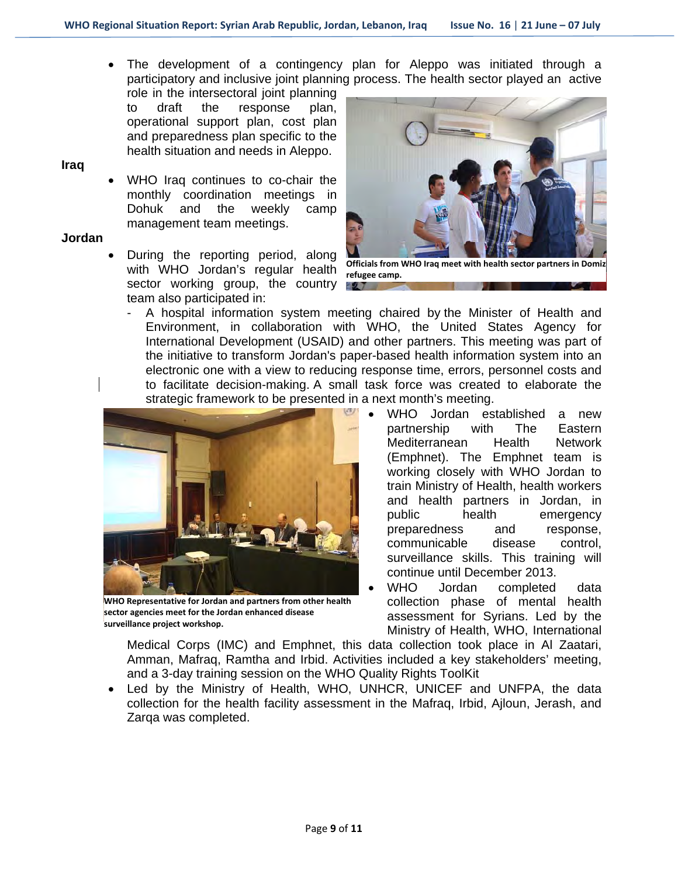The development of a contingency plan for Aleppo was initiated through a participatory and inclusive joint planning process. The health sector played an active

role in the intersectoral joint planning to draft the response plan, operational support plan, cost plan and preparedness plan specific to the health situation and needs in Aleppo.

**Iraq**

 WHO Iraq continues to co-chair the monthly coordination meetings in Dohuk and the weekly camp management team meetings.

### **Jordan**

 During the reporting period, along with WHO Jordan's regular health sector working group, the country team also participated in:



**Officials from WHO Iraq meet with health sector partners in Domiz refugee camp.** <u> 97 T</u>

A hospital information system meeting chaired by the Minister of Health and Environment, in collaboration with WHO, the United States Agency for International Development (USAID) and other partners. This meeting was part of the initiative to transform Jordan's paper-based health information system into an electronic one with a view to reducing response time, errors, personnel costs and to facilitate decision-making. A small task force was created to elaborate the strategic framework to be presented in a next month's meeting.



**WHO Representative for Jordan and partners from other health sector agencies meet for the Jordan enhanced disease surveillance project workshop.**

 WHO Jordan established a new partnership with The Eastern Mediterranean Health Network (Emphnet). The Emphnet team is working closely with WHO Jordan to train Ministry of Health, health workers and health partners in Jordan, in public health emergency preparedness and response, communicable disease control, surveillance skills. This training will continue until December 2013.

 WHO Jordan completed data collection phase of mental health assessment for Syrians. Led by the Ministry of Health, WHO, International

Medical Corps (IMC) and Emphnet, this data collection took place in Al Zaatari, Amman, Mafraq, Ramtha and Irbid. Activities included a key stakeholders' meeting, and a 3-day training session on the WHO Quality Rights ToolKit

 Led by the Ministry of Health, WHO, UNHCR, UNICEF and UNFPA, the data collection for the health facility assessment in the Mafraq, Irbid, Ajloun, Jerash, and Zarqa was completed.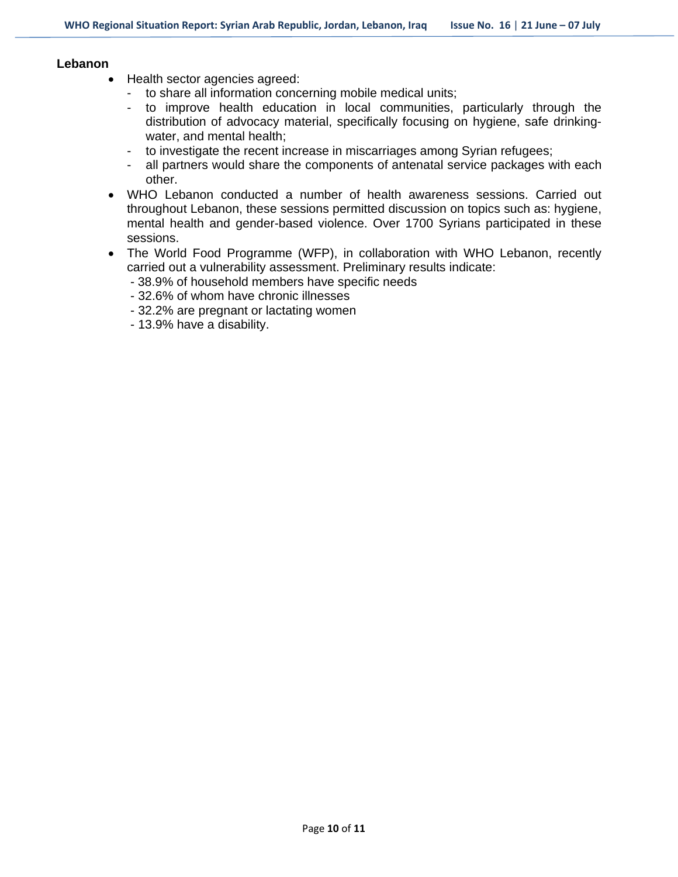#### **Lebanon**

- Health sector agencies agreed:
	- to share all information concerning mobile medical units;
	- to improve health education in local communities, particularly through the distribution of advocacy material, specifically focusing on hygiene, safe drinkingwater, and mental health;
	- to investigate the recent increase in miscarriages among Syrian refugees;
	- all partners would share the components of antenatal service packages with each other.
- WHO Lebanon conducted a number of health awareness sessions. Carried out throughout Lebanon, these sessions permitted discussion on topics such as: hygiene, mental health and gender-based violence. Over 1700 Syrians participated in these sessions.
- The World Food Programme (WFP), in collaboration with WHO Lebanon, recently carried out a vulnerability assessment. Preliminary results indicate:
	- 38.9% of household members have specific needs
	- 32.6% of whom have chronic illnesses
	- 32.2% are pregnant or lactating women
	- 13.9% have a disability.